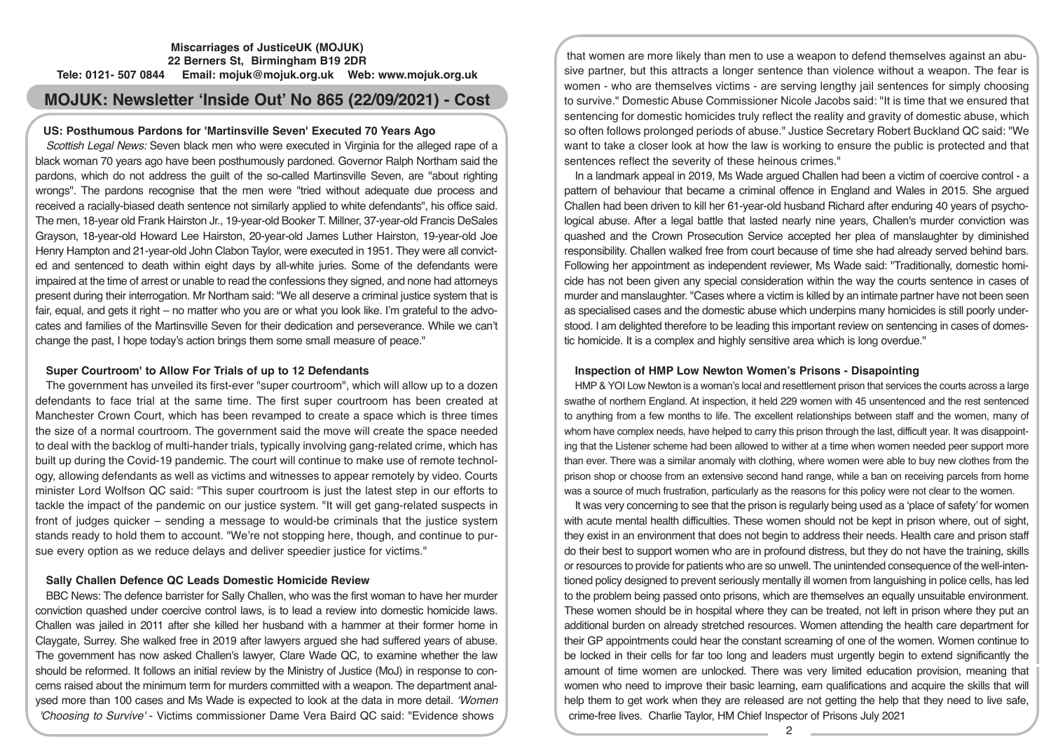# **Miscarriages of JusticeUK (MOJUK) 22 Berners St, Birmingham B19 2DR Tele: 0121- 507 0844 Email: mojuk@mojuk.org.uk Web: www.mojuk.org.uk**

# **MOJUK: Newsletter 'Inside Out' No 865 (22/09/2021) - Cost**

# **US: Posthumous Pardons for 'Martinsville Seven' Executed 70 Years Ago**

*Scottish Legal News:* Seven black men who were executed in Virginia for the alleged rape of a black woman 70 years ago have been posthumously pardoned. Governor Ralph Northam said the pardons, which do not address the guilt of the so-called Martinsville Seven, are "about righting wrongs". The pardons recognise that the men were "tried without adequate due process and received a racially-biased death sentence not similarly applied to white defendants", his office said. The men, 18-year old Frank Hairston Jr., 19-year-old Booker T. Millner, 37-year-old Francis DeSales Grayson, 18-year-old Howard Lee Hairston, 20-year-old James Luther Hairston, 19-year-old Joe Henry Hampton and 21-year-old John Clabon Taylor, were executed in 1951. They were all convicted and sentenced to death within eight days by all-white juries. Some of the defendants were impaired at the time of arrest or unable to read the confessions they signed, and none had attorneys present during their interrogation. Mr Northam said: "We all deserve a criminal justice system that is fair, equal, and gets it right – no matter who you are or what you look like. I'm grateful to the advocates and families of the Martinsville Seven for their dedication and perseverance. While we can't change the past, I hope today's action brings them some small measure of peace."

# **Super Courtroom' to Allow For Trials of up to 12 Defendants**

The government has unveiled its first-ever "super courtroom", which will allow up to a dozen defendants to face trial at the same time. The first super courtroom has been created at Manchester Crown Court, which has been revamped to create a space which is three times the size of a normal courtroom. The government said the move will create the space needed to deal with the backlog of multi-hander trials, typically involving gang-related crime, which has built up during the Covid-19 pandemic. The court will continue to make use of remote technology, allowing defendants as well as victims and witnesses to appear remotely by video. Courts minister Lord Wolfson QC said: "This super courtroom is just the latest step in our efforts to tackle the impact of the pandemic on our justice system. "It will get gang-related suspects in front of judges quicker – sending a message to would-be criminals that the justice system stands ready to hold them to account. "We're not stopping here, though, and continue to pursue every option as we reduce delays and deliver speedier justice for victims."

# **Sally Challen Defence QC Leads Domestic Homicide Review**

BBC News: The defence barrister for Sally Challen, who was the first woman to have her murder conviction quashed under coercive control laws, is to lead a review into domestic homicide laws. Challen was jailed in 2011 after she killed her husband with a hammer at their former home in Claygate, Surrey. She walked free in 2019 after lawyers argued she had suffered years of abuse. The government has now asked Challen's lawyer, Clare Wade QC, to examine whether the law should be reformed. It follows an initial review by the Ministry of Justice (MoJ) in response to concerns raised about the minimum term for murders committed with a weapon. The department analysed more than 100 cases and Ms Wade is expected to look at the data in more detail. *'Women 'Choosing to Survive'* - Victims commissioner Dame Vera Baird QC said: "Evidence shows

that women are more likely than men to use a weapon to defend themselves against an abusive partner, but this attracts a longer sentence than violence without a weapon. The fear is women - who are themselves victims - are serving lengthy jail sentences for simply choosing to survive." Domestic Abuse Commissioner Nicole Jacobs said: "It is time that we ensured that sentencing for domestic homicides truly reflect the reality and gravity of domestic abuse, which so often follows prolonged periods of abuse." Justice Secretary Robert Buckland QC said: "We want to take a closer look at how the law is working to ensure the public is protected and that sentences reflect the severity of these heinous crimes."

In a landmark appeal in 2019, Ms Wade argued Challen had been a victim of coercive control - a pattern of behaviour that became a criminal offence in England and Wales in 2015. She argued Challen had been driven to kill her 61-year-old husband Richard after enduring 40 years of psychological abuse. After a legal battle that lasted nearly nine years, Challen's murder conviction was quashed and the Crown Prosecution Service accepted her plea of manslaughter by diminished responsibility. Challen walked free from court because of time she had already served behind bars. Following her appointment as independent reviewer, Ms Wade said: "Traditionally, domestic homicide has not been given any special consideration within the way the courts sentence in cases of murder and manslaughter. "Cases where a victim is killed by an intimate partner have not been seen as specialised cases and the domestic abuse which underpins many homicides is still poorly understood. I am delighted therefore to be leading this important review on sentencing in cases of domestic homicide. It is a complex and highly sensitive area which is long overdue."

### **Inspection of HMP Low Newton Women's Prisons - Disapointing**

HMP & YOI Low Newton is a woman's local and resettlement prison that services the courts across a large swathe of northern England. At inspection, it held 229 women with 45 unsentenced and the rest sentenced to anything from a few months to life. The excellent relationships between staff and the women, many of whom have complex needs, have helped to carry this prison through the last, difficult year. It was disappointing that the Listener scheme had been allowed to wither at a time when women needed peer support more than ever. There was a similar anomaly with clothing, where women were able to buy new clothes from the prison shop or choose from an extensive second hand range, while a ban on receiving parcels from home was a source of much frustration, particularly as the reasons for this policy were not clear to the women.

It was very concerning to see that the prison is regularly being used as a 'place of safety' for women with acute mental health difficulties. These women should not be kept in prison where, out of sight, they exist in an environment that does not begin to address their needs. Health care and prison staff do their best to support women who are in profound distress, but they do not have the training, skills or resources to provide for patients who are so unwell. The unintended consequence of the well-intentioned policy designed to prevent seriously mentally ill women from languishing in police cells, has led to the problem being passed onto prisons, which are themselves an equally unsuitable environment. These women should be in hospital where they can be treated, not left in prison where they put an additional burden on already stretched resources. Women attending the health care department for their GP appointments could hear the constant screaming of one of the women. Women continue to be locked in their cells for far too long and leaders must urgently begin to extend significantly the amount of time women are unlocked. There was very limited education provision, meaning that women who need to improve their basic learning, earn qualifications and acquire the skills that will help them to get work when they are released are not getting the help that they need to live safe. crime-free lives. Charlie Taylor, HM Chief Inspector of Prisons July 2021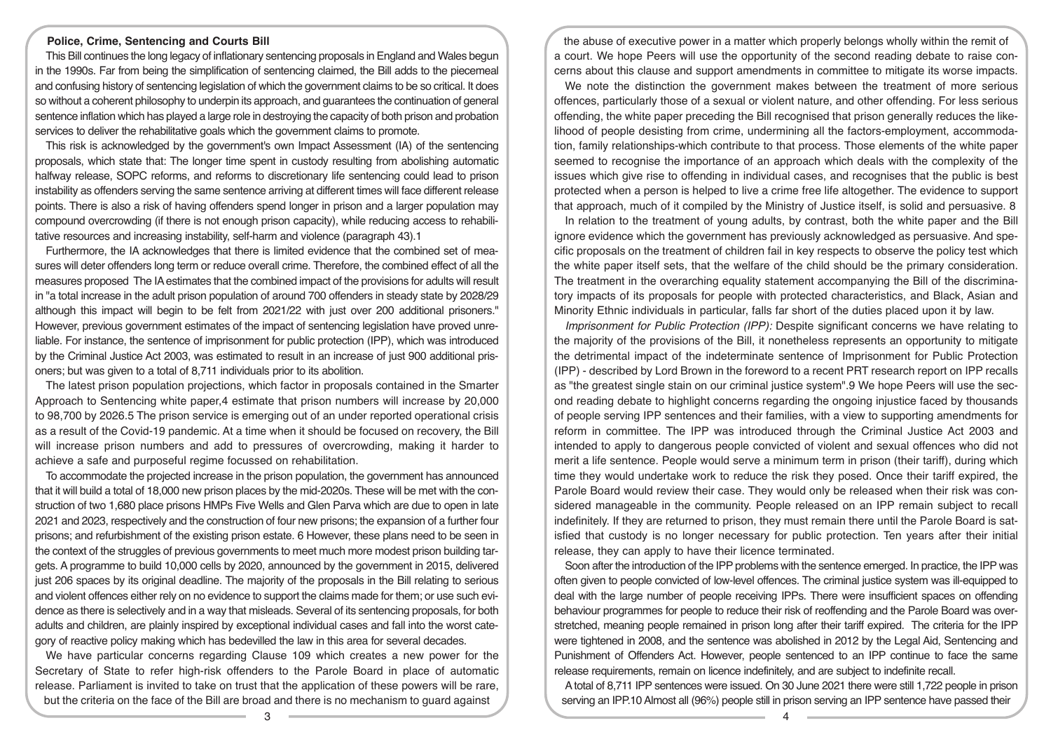### **Police, Crime, Sentencing and Courts Bill**

This Bill continues the long legacy of inflationary sentencing proposals in England and Wales begun in the 1990s. Far from being the simplification of sentencing claimed, the Bill adds to the piecemeal and confusing history of sentencing legislation of which the government claims to be so critical. It does so without a coherent philosophy to underpin its approach, and guarantees the continuation of general sentence inflation which has played a large role in destroying the capacity of both prison and probation services to deliver the rehabilitative goals which the government claims to promote.

This risk is acknowledged by the government's own Impact Assessment (IA) of the sentencing proposals, which state that: The longer time spent in custody resulting from abolishing automatic halfway release, SOPC reforms, and reforms to discretionary life sentencing could lead to prison instability as offenders serving the same sentence arriving at different times will face different release points. There is also a risk of having offenders spend longer in prison and a larger population may compound overcrowding (if there is not enough prison capacity), while reducing access to rehabilitative resources and increasing instability, self-harm and violence (paragraph 43).1

Furthermore, the IA acknowledges that there is limited evidence that the combined set of measures will deter offenders long term or reduce overall crime. Therefore, the combined effect of all the measures proposed The IA estimates that the combined impact of the provisions for adults will result in "a total increase in the adult prison population of around 700 offenders in steady state by 2028/29 although this impact will begin to be felt from 2021/22 with just over 200 additional prisoners." However, previous government estimates of the impact of sentencing legislation have proved unreliable. For instance, the sentence of imprisonment for public protection (IPP), which was introduced by the Criminal Justice Act 2003, was estimated to result in an increase of just 900 additional prisoners; but was given to a total of 8,711 individuals prior to its abolition.

The latest prison population projections, which factor in proposals contained in the Smarter Approach to Sentencing white paper,4 estimate that prison numbers will increase by 20,000 to 98,700 by 2026.5 The prison service is emerging out of an under reported operational crisis as a result of the Covid-19 pandemic. At a time when it should be focused on recovery, the Bill will increase prison numbers and add to pressures of overcrowding, making it harder to achieve a safe and purposeful regime focussed on rehabilitation.

To accommodate the projected increase in the prison population, the government has announced that it will build a total of 18,000 new prison places by the mid-2020s. These will be met with the construction of two 1,680 place prisons HMPs Five Wells and Glen Parva which are due to open in late 2021 and 2023, respectively and the construction of four new prisons; the expansion of a further four prisons; and refurbishment of the existing prison estate. 6 However, these plans need to be seen in the context of the struggles of previous governments to meet much more modest prison building targets. A programme to build 10,000 cells by 2020, announced by the government in 2015, delivered just 206 spaces by its original deadline. The majority of the proposals in the Bill relating to serious and violent offences either rely on no evidence to support the claims made for them; or use such evidence as there is selectively and in a way that misleads. Several of its sentencing proposals, for both adults and children, are plainly inspired by exceptional individual cases and fall into the worst category of reactive policy making which has bedevilled the law in this area for several decades.

We have particular concerns regarding Clause 109 which creates a new power for the Secretary of State to refer high-risk offenders to the Parole Board in place of automatic release. Parliament is invited to take on trust that the application of these powers will be rare, but the criteria on the face of the Bill are broad and there is no mechanism to guard against

the abuse of executive power in a matter which properly belongs wholly within the remit of a court. We hope Peers will use the opportunity of the second reading debate to raise concerns about this clause and support amendments in committee to mitigate its worse impacts.

We note the distinction the government makes between the treatment of more serious offences, particularly those of a sexual or violent nature, and other offending. For less serious offending, the white paper preceding the Bill recognised that prison generally reduces the likelihood of people desisting from crime, undermining all the factors-employment, accommodation, family relationships-which contribute to that process. Those elements of the white paper seemed to recognise the importance of an approach which deals with the complexity of the issues which give rise to offending in individual cases, and recognises that the public is best protected when a person is helped to live a crime free life altogether. The evidence to support that approach, much of it compiled by the Ministry of Justice itself, is solid and persuasive. 8

In relation to the treatment of young adults, by contrast, both the white paper and the Bill ignore evidence which the government has previously acknowledged as persuasive. And specific proposals on the treatment of children fail in key respects to observe the policy test which the white paper itself sets, that the welfare of the child should be the primary consideration. The treatment in the overarching equality statement accompanying the Bill of the discriminatory impacts of its proposals for people with protected characteristics, and Black, Asian and Minority Ethnic individuals in particular, falls far short of the duties placed upon it by law.

*Imprisonment for Public Protection (IPP):* Despite significant concerns we have relating to the majority of the provisions of the Bill, it nonetheless represents an opportunity to mitigate the detrimental impact of the indeterminate sentence of Imprisonment for Public Protection (IPP) - described by Lord Brown in the foreword to a recent PRT research report on IPP recalls as "the greatest single stain on our criminal justice system".9 We hope Peers will use the second reading debate to highlight concerns regarding the ongoing injustice faced by thousands of people serving IPP sentences and their families, with a view to supporting amendments for reform in committee. The IPP was introduced through the Criminal Justice Act 2003 and intended to apply to dangerous people convicted of violent and sexual offences who did not merit a life sentence. People would serve a minimum term in prison (their tariff), during which time they would undertake work to reduce the risk they posed. Once their tariff expired, the Parole Board would review their case. They would only be released when their risk was considered manageable in the community. People released on an IPP remain subject to recall indefinitely. If they are returned to prison, they must remain there until the Parole Board is satisfied that custody is no longer necessary for public protection. Ten years after their initial release, they can apply to have their licence terminated.

Soon after the introduction of the IPP problems with the sentence emerged. In practice, the IPP was often given to people convicted of low-level offences. The criminal justice system was ill-equipped to deal with the large number of people receiving IPPs. There were insufficient spaces on offending behaviour programmes for people to reduce their risk of reoffending and the Parole Board was overstretched, meaning people remained in prison long after their tariff expired. The criteria for the IPP were tightened in 2008, and the sentence was abolished in 2012 by the Legal Aid, Sentencing and Punishment of Offenders Act. However, people sentenced to an IPP continue to face the same release requirements, remain on licence indefinitely, and are subject to indefinite recall.

A total of 8,711 IPP sentences were issued. On 30 June 2021 there were still 1,722 people in prison serving an IPP.10 Almost all (96%) people still in prison serving an IPP sentence have passed their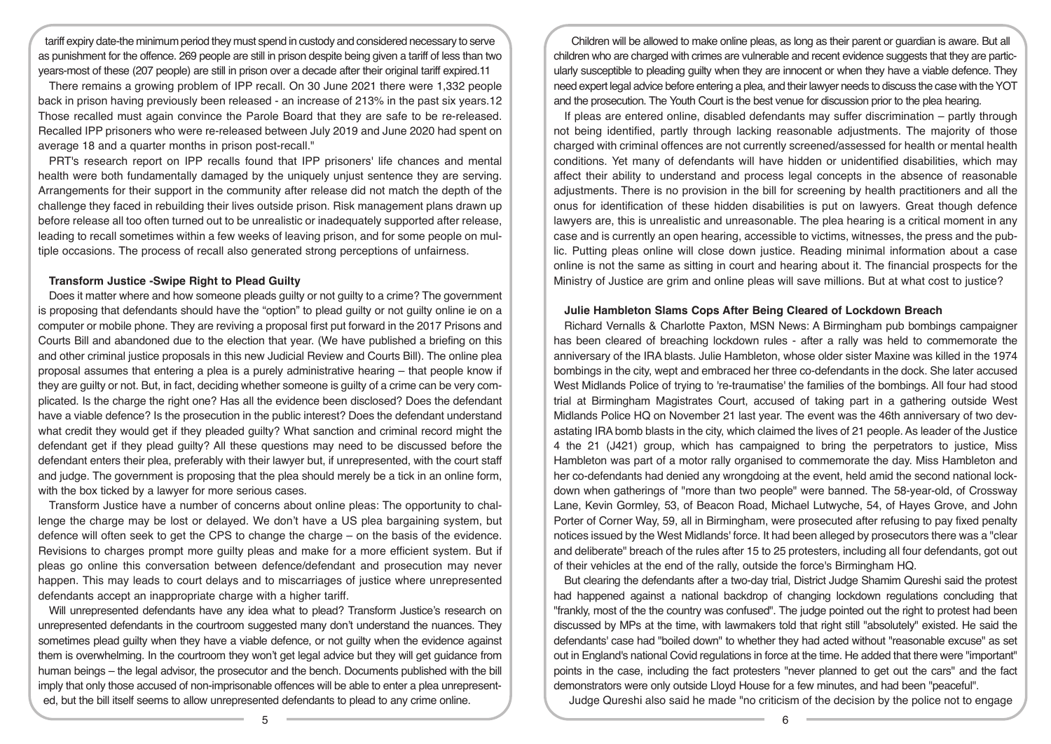tariff expiry date-the minimum period they must spend in custody and considered necessary to serve as punishment for the offence. 269 people are still in prison despite being given a tariff of less than two years-most of these (207 people) are still in prison over a decade after their original tariff expired.11

There remains a growing problem of IPP recall. On 30 June 2021 there were 1,332 people back in prison having previously been released - an increase of 213% in the past six years.12 Those recalled must again convince the Parole Board that they are safe to be re-released. Recalled IPP prisoners who were re-released between July 2019 and June 2020 had spent on average 18 and a quarter months in prison post-recall."

PRT's research report on IPP recalls found that IPP prisoners' life chances and mental health were both fundamentally damaged by the uniquely unjust sentence they are serving. Arrangements for their support in the community after release did not match the depth of the challenge they faced in rebuilding their lives outside prison. Risk management plans drawn up before release all too often turned out to be unrealistic or inadequately supported after release, leading to recall sometimes within a few weeks of leaving prison, and for some people on multiple occasions. The process of recall also generated strong perceptions of unfairness.

### **Transform Justice -Swipe Right to Plead Guilty**

Does it matter where and how someone pleads guilty or not guilty to a crime? The government is proposing that defendants should have the "option" to plead guilty or not guilty online ie on a computer or mobile phone. They are reviving a proposal first put forward in the 2017 Prisons and Courts Bill and abandoned due to the election that year. (We have published a briefing on this and other criminal justice proposals in this new Judicial Review and Courts Bill). The online plea proposal assumes that entering a plea is a purely administrative hearing – that people know if they are guilty or not. But, in fact, deciding whether someone is guilty of a crime can be very complicated. Is the charge the right one? Has all the evidence been disclosed? Does the defendant have a viable defence? Is the prosecution in the public interest? Does the defendant understand what credit they would get if they pleaded guilty? What sanction and criminal record might the defendant get if they plead guilty? All these questions may need to be discussed before the defendant enters their plea, preferably with their lawyer but, if unrepresented, with the court staff and judge. The government is proposing that the plea should merely be a tick in an online form, with the box ticked by a lawyer for more serious cases.

Transform Justice have a number of concerns about online pleas: The opportunity to challenge the charge may be lost or delayed. We don't have a US plea bargaining system, but defence will often seek to get the CPS to change the charge – on the basis of the evidence. Revisions to charges prompt more guilty pleas and make for a more efficient system. But if pleas go online this conversation between defence/defendant and prosecution may never happen. This may leads to court delays and to miscarriages of justice where unrepresented defendants accept an inappropriate charge with a higher tariff.

Will unrepresented defendants have any idea what to plead? Transform Justice's research on unrepresented defendants in the courtroom suggested many don't understand the nuances. They sometimes plead guilty when they have a viable defence, or not guilty when the evidence against them is overwhelming. In the courtroom they won't get legal advice but they will get guidance from human beings – the legal advisor, the prosecutor and the bench. Documents published with the bill imply that only those accused of non-imprisonable offences will be able to enter a plea unrepresented, but the bill itself seems to allow unrepresented defendants to plead to any crime online.

Children will be allowed to make online pleas, as long as their parent or guardian is aware. But all children who are charged with crimes are vulnerable and recent evidence suggests that they are particularly susceptible to pleading guilty when they are innocent or when they have a viable defence. They need expert legal advice before entering a plea, and their lawyer needs to discuss the case with the YOT and the prosecution. The Youth Court is the best venue for discussion prior to the plea hearing.

If pleas are entered online, disabled defendants may suffer discrimination – partly through not being identified, partly through lacking reasonable adjustments. The majority of those charged with criminal offences are not currently screened/assessed for health or mental health conditions. Yet many of defendants will have hidden or unidentified disabilities, which may affect their ability to understand and process legal concepts in the absence of reasonable adjustments. There is no provision in the bill for screening by health practitioners and all the onus for identification of these hidden disabilities is put on lawyers. Great though defence lawyers are, this is unrealistic and unreasonable. The plea hearing is a critical moment in any case and is currently an open hearing, accessible to victims, witnesses, the press and the public. Putting pleas online will close down justice. Reading minimal information about a case online is not the same as sitting in court and hearing about it. The financial prospects for the Ministry of Justice are grim and online pleas will save millions. But at what cost to justice?

## **Julie Hambleton Slams Cops After Being Cleared of Lockdown Breach**

Richard Vernalls & Charlotte Paxton, MSN News: A Birmingham pub bombings campaigner has been cleared of breaching lockdown rules - after a rally was held to commemorate the anniversary of the IRA blasts. Julie Hambleton, whose older sister Maxine was killed in the 1974 bombings in the city, wept and embraced her three co-defendants in the dock. She later accused West Midlands Police of trying to 're-traumatise' the families of the bombings. All four had stood trial at Birmingham Magistrates Court, accused of taking part in a gathering outside West Midlands Police HQ on November 21 last year. The event was the 46th anniversary of two devastating IRA bomb blasts in the city, which claimed the lives of 21 people. As leader of the Justice 4 the 21 (J421) group, which has campaigned to bring the perpetrators to justice, Miss Hambleton was part of a motor rally organised to commemorate the day. Miss Hambleton and her co-defendants had denied any wrongdoing at the event, held amid the second national lockdown when gatherings of "more than two people" were banned. The 58-year-old, of Crossway Lane, Kevin Gormley, 53, of Beacon Road, Michael Lutwyche, 54, of Hayes Grove, and John Porter of Corner Way, 59, all in Birmingham, were prosecuted after refusing to pay fixed penalty notices issued by the West Midlands' force. It had been alleged by prosecutors there was a "clear and deliberate" breach of the rules after 15 to 25 protesters, including all four defendants, got out of their vehicles at the end of the rally, outside the force's Birmingham HQ.

But clearing the defendants after a two-day trial, District Judge Shamim Qureshi said the protest had happened against a national backdrop of changing lockdown regulations concluding that "frankly, most of the the country was confused". The judge pointed out the right to protest had been discussed by MPs at the time, with lawmakers told that right still "absolutely" existed. He said the defendants' case had "boiled down" to whether they had acted without "reasonable excuse" as set out in England's national Covid regulations in force at the time. He added that there were "important" points in the case, including the fact protesters "never planned to get out the cars" and the fact demonstrators were only outside Lloyd House for a few minutes, and had been "peaceful".

Judge Qureshi also said he made "no criticism of the decision by the police not to engage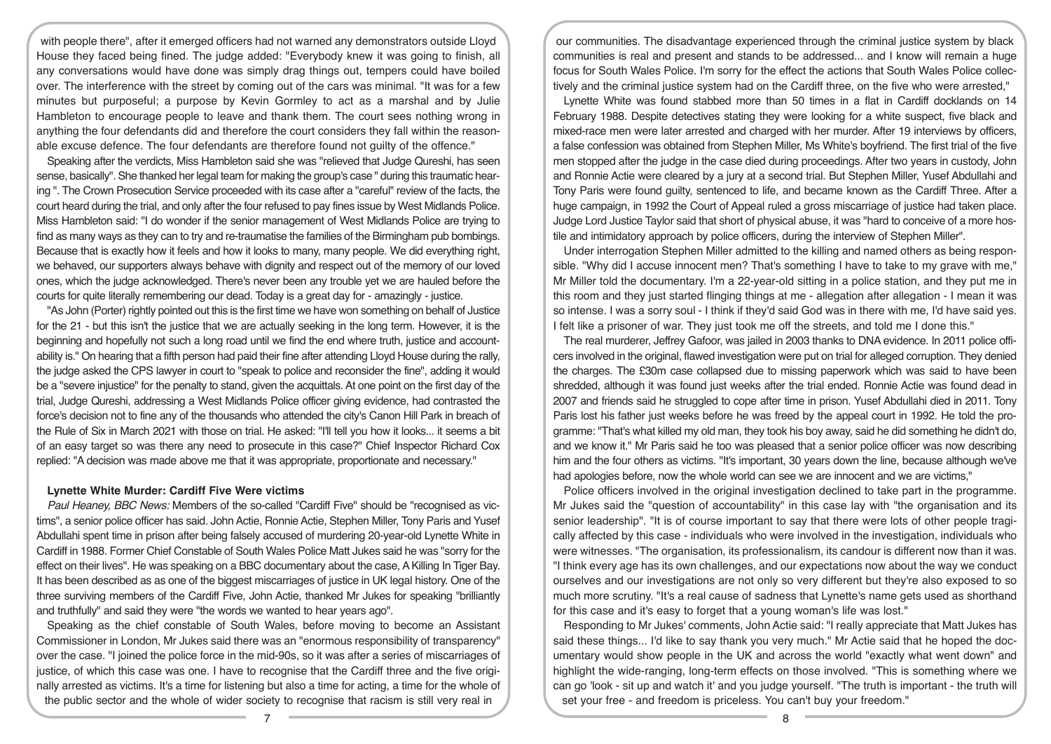with people there", after it emerged officers had not warned any demonstrators outside Lloyd House they faced being fined. The judge added: "Everybody knew it was going to finish, all any conversations would have done was simply drag things out, tempers could have boiled over. The interference with the street by coming out of the cars was minimal. "It was for a few minutes but purposeful; a purpose by Kevin Gormley to act as a marshal and by Julie Hambleton to encourage people to leave and thank them. The court sees nothing wrong in anything the four defendants did and therefore the court considers they fall within the reasonable excuse defence. The four defendants are therefore found not guilty of the offence."

Speaking after the verdicts, Miss Hambleton said she was "relieved that Judge Qureshi, has seen sense, basically". She thanked her legal team for making the group's case " during this traumatic hearing ". The Crown Prosecution Service proceeded with its case after a "careful" review of the facts, the court heard during the trial, and only after the four refused to pay fines issue by West Midlands Police. Miss Hambleton said: "I do wonder if the senior management of West Midlands Police are trying to find as many ways as they can to try and re-traumatise the families of the Birmingham pub bombings. Because that is exactly how it feels and how it looks to many, many people. We did everything right, we behaved, our supporters always behave with dignity and respect out of the memory of our loved ones, which the judge acknowledged. There's never been any trouble yet we are hauled before the courts for quite literally remembering our dead. Today is a great day for - amazingly - justice.

"As John (Porter) rightly pointed out this is the first time we have won something on behalf of Justice for the 21 - but this isn't the justice that we are actually seeking in the long term. However, it is the beginning and hopefully not such a long road until we find the end where truth, iustice and accountability is." On hearing that a fifth person had paid their fine after attending Lloyd House during the rally, the judge asked the CPS lawyer in court to "speak to police and reconsider the fine", adding it would be a "severe injustice" for the penalty to stand, given the acquittals. At one point on the first day of the trial, Judge Qureshi, addressing a West Midlands Police officer giving evidence, had contrasted the force's decision not to fine any of the thousands who attended the city's Canon Hill Park in breach of the Rule of Six in March 2021 with those on trial. He asked: "I'll tell you how it looks... it seems a bit of an easy target so was there any need to prosecute in this case?" Chief Inspector Richard Cox replied: "A decision was made above me that it was appropriate, proportionate and necessary."

# **Lynette White Murder: Cardiff Five Were victims**

*Paul Heaney, BBC News:* Members of the so-called "Cardiff Five" should be "recognised as victims", a senior police officer has said. John Actie, Ronnie Actie, Stephen Miller, Tony Paris and Yusef Abdullahi spent time in prison after being falsely accused of murdering 20-year-old Lynette White in Cardiff in 1988. Former Chief Constable of South Wales Police Matt Jukes said he was "sorry for the effect on their lives". He was speaking on a BBC documentary about the case, A Killing In Tiger Bay. It has been described as as one of the biggest miscarriages of justice in UK legal history. One of the three surviving members of the Cardiff Five, John Actie, thanked Mr Jukes for speaking "brilliantly and truthfully" and said they were "the words we wanted to hear years ago".

Speaking as the chief constable of South Wales, before moving to become an Assistant Commissioner in London, Mr Jukes said there was an "enormous responsibility of transparency" over the case. "I joined the police force in the mid-90s, so it was after a series of miscarriages of justice, of which this case was one. I have to recognise that the Cardiff three and the five originally arrested as victims. It's a time for listening but also a time for acting, a time for the whole of the public sector and the whole of wider society to recognise that racism is still very real in

our communities. The disadvantage experienced through the criminal justice system by black communities is real and present and stands to be addressed... and I know will remain a huge focus for South Wales Police. I'm sorry for the effect the actions that South Wales Police collectively and the criminal justice system had on the Cardiff three, on the five who were arrested,"

Lynette White was found stabbed more than 50 times in a flat in Cardiff docklands on 14 February 1988. Despite detectives stating they were looking for a white suspect, five black and mixed-race men were later arrested and charged with her murder. After 19 interviews by officers, a false confession was obtained from Stephen Miller, Ms White's boyfriend. The first trial of the five men stopped after the judge in the case died during proceedings. After two years in custody, John and Ronnie Actie were cleared by a jury at a second trial. But Stephen Miller, Yusef Abdullahi and Tony Paris were found guilty, sentenced to life, and became known as the Cardiff Three. After a huge campaign, in 1992 the Court of Appeal ruled a gross miscarriage of justice had taken place. Judge Lord Justice Taylor said that short of physical abuse, it was "hard to conceive of a more hostile and intimidatory approach by police officers, during the interview of Stephen Miller".

Under interrogation Stephen Miller admitted to the killing and named others as being responsible. "Why did I accuse innocent men? That's something I have to take to my grave with me," Mr Miller told the documentary. I'm a 22-year-old sitting in a police station, and they put me in this room and they just started flinging things at me - allegation after allegation - I mean it was so intense. I was a sorry soul - I think if they'd said God was in there with me, I'd have said yes. I felt like a prisoner of war. They just took me off the streets, and told me I done this."

The real murderer, Jeffrey Gafoor, was jailed in 2003 thanks to DNA evidence. In 2011 police officers involved in the original, flawed investigation were put on trial for alleged corruption. They denied the charges. The £30m case collapsed due to missing paperwork which was said to have been shredded, although it was found just weeks after the trial ended. Ronnie Actie was found dead in 2007 and friends said he struggled to cope after time in prison. Yusef Abdullahi died in 2011. Tony Paris lost his father just weeks before he was freed by the appeal court in 1992. He told the programme: "That's what killed my old man, they took his boy away, said he did something he didn't do, and we know it." Mr Paris said he too was pleased that a senior police officer was now describing him and the four others as victims. "It's important, 30 years down the line, because although we've had apologies before, now the whole world can see we are innocent and we are victims,"

Police officers involved in the original investigation declined to take part in the programme. Mr Jukes said the "question of accountability" in this case lay with "the organisation and its senior leadership". "It is of course important to say that there were lots of other people tragically affected by this case - individuals who were involved in the investigation, individuals who were witnesses. "The organisation, its professionalism, its candour is different now than it was. "I think every age has its own challenges, and our expectations now about the way we conduct ourselves and our investigations are not only so very different but they're also exposed to so much more scrutiny. "It's a real cause of sadness that Lynette's name gets used as shorthand for this case and it's easy to forget that a young woman's life was lost."

Responding to Mr Jukes' comments, John Actie said: "I really appreciate that Matt Jukes has said these things... I'd like to say thank you very much." Mr Actie said that he hoped the documentary would show people in the UK and across the world "exactly what went down" and highlight the wide-ranging, long-term effects on those involved. "This is something where we can go 'look - sit up and watch it' and you judge yourself. "The truth is important - the truth will set your free - and freedom is priceless. You can't buy your freedom."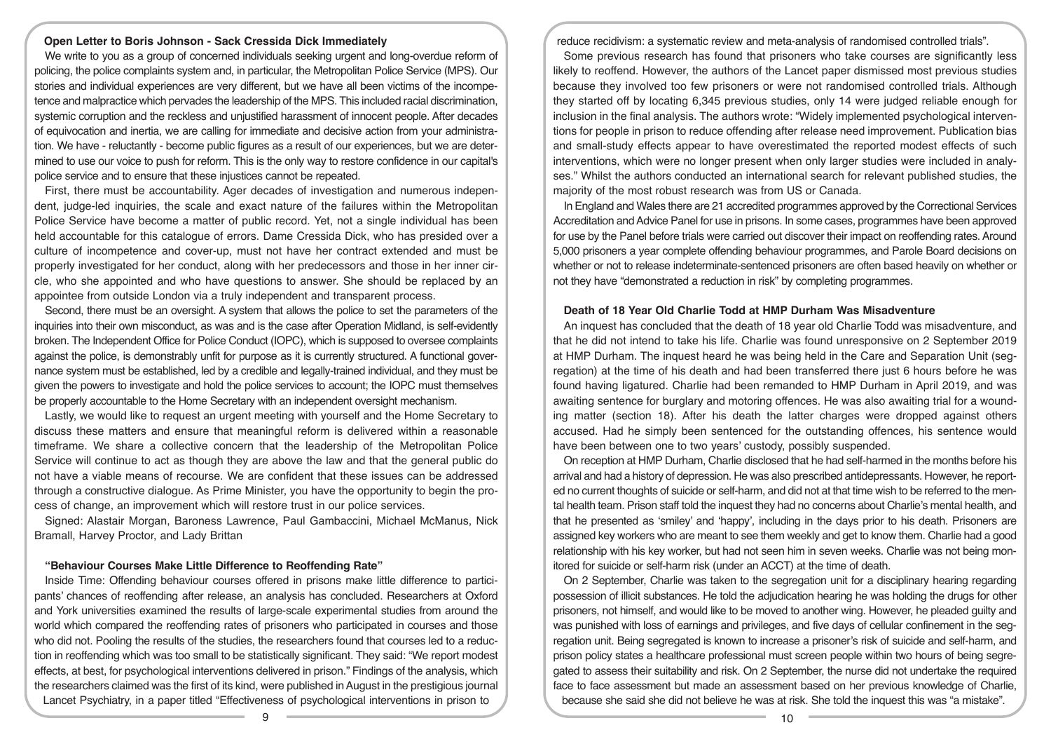#### **Open Letter to Boris Johnson - Sack Cressida Dick Immediately**

We write to you as a group of concerned individuals seeking urgent and long-overdue reform of policing, the police complaints system and, in particular, the Metropolitan Police Service (MPS). Our stories and individual experiences are very different, but we have all been victims of the incompetence and malpractice which pervades the leadership of the MPS. This included racial discrimination, systemic corruption and the reckless and unjustified harassment of innocent people. After decades of equivocation and inertia, we are calling for immediate and decisive action from your administration. We have - reluctantly - become public figures as a result of our experiences, but we are determined to use our voice to push for reform. This is the only way to restore confidence in our capital's police service and to ensure that these injustices cannot be repeated.

First, there must be accountability. Ager decades of investigation and numerous independent, judge-led inquiries, the scale and exact nature of the failures within the Metropolitan Police Service have become a matter of public record. Yet, not a single individual has been held accountable for this catalogue of errors. Dame Cressida Dick, who has presided over a culture of incompetence and cover-up, must not have her contract extended and must be properly investigated for her conduct, along with her predecessors and those in her inner circle, who she appointed and who have questions to answer. She should be replaced by an appointee from outside London via a truly independent and transparent process.

Second, there must be an oversight. A system that allows the police to set the parameters of the inquiries into their own misconduct, as was and is the case after Operation Midland, is self-evidently broken. The Independent Office for Police Conduct (IOPC), which is supposed to oversee complaints against the police, is demonstrably unfit for purpose as it is currently structured. A functional governance system must be established, led by a credible and legally-trained individual, and they must be given the powers to investigate and hold the police services to account; the IOPC must themselves be properly accountable to the Home Secretary with an independent oversight mechanism.

Lastly, we would like to request an urgent meeting with yourself and the Home Secretary to discuss these matters and ensure that meaningful reform is delivered within a reasonable timeframe. We share a collective concern that the leadership of the Metropolitan Police Service will continue to act as though they are above the law and that the general public do not have a viable means of recourse. We are confident that these issues can be addressed through a constructive dialogue. As Prime Minister, you have the opportunity to begin the process of change, an improvement which will restore trust in our police services.

Signed: Alastair Morgan, Baroness Lawrence, Paul Gambaccini, Michael McManus, Nick Bramall, Harvey Proctor, and Lady Brittan

# **"Behaviour Courses Make Little Difference to Reoffending Rate"**

Inside Time: Offending behaviour courses offered in prisons make little difference to participants' chances of reoffending after release, an analysis has concluded. Researchers at Oxford and York universities examined the results of large-scale experimental studies from around the world which compared the reoffending rates of prisoners who participated in courses and those who did not. Pooling the results of the studies, the researchers found that courses led to a reduction in reoffending which was too small to be statistically significant. They said: "We report modest effects, at best, for psychological interventions delivered in prison." Findings of the analysis, which the researchers claimed was the first of its kind, were published in August in the prestigious journal Lancet Psychiatry, in a paper titled "Effectiveness of psychological interventions in prison to

reduce recidivism: a systematic review and meta-analysis of randomised controlled trials".

Some previous research has found that prisoners who take courses are significantly less likely to reoffend. However, the authors of the Lancet paper dismissed most previous studies because they involved too few prisoners or were not randomised controlled trials. Although they started off by locating 6,345 previous studies, only 14 were judged reliable enough for inclusion in the final analysis. The authors wrote: "Widely implemented psychological interventions for people in prison to reduce offending after release need improvement. Publication bias and small-study effects appear to have overestimated the reported modest effects of such interventions, which were no longer present when only larger studies were included in analyses." Whilst the authors conducted an international search for relevant published studies, the majority of the most robust research was from US or Canada.

In England and Wales there are 21 accredited programmes approved by the Correctional Services Accreditation and Advice Panel for use in prisons. In some cases, programmes have been approved for use by the Panel before trials were carried out discover their impact on reoffending rates. Around 5,000 prisoners a year complete offending behaviour programmes, and Parole Board decisions on whether or not to release indeterminate-sentenced prisoners are often based heavily on whether or not they have "demonstrated a reduction in risk" by completing programmes.

## **Death of 18 Year Old Charlie Todd at HMP Durham Was Misadventure**

An inquest has concluded that the death of 18 year old Charlie Todd was misadventure, and that he did not intend to take his life. Charlie was found unresponsive on 2 September 2019 at HMP Durham. The inquest heard he was being held in the Care and Separation Unit (segregation) at the time of his death and had been transferred there just 6 hours before he was found having ligatured. Charlie had been remanded to HMP Durham in April 2019, and was awaiting sentence for burglary and motoring offences. He was also awaiting trial for a wounding matter (section 18). After his death the latter charges were dropped against others accused. Had he simply been sentenced for the outstanding offences, his sentence would have been between one to two years' custody, possibly suspended.

On reception at HMP Durham, Charlie disclosed that he had self-harmed in the months before his arrival and had a history of depression. He was also prescribed antidepressants. However, he reported no current thoughts of suicide or self-harm, and did not at that time wish to be referred to the mental health team. Prison staff told the inquest they had no concerns about Charlie's mental health, and that he presented as 'smiley' and 'happy', including in the days prior to his death. Prisoners are assigned key workers who are meant to see them weekly and get to know them. Charlie had a good relationship with his key worker, but had not seen him in seven weeks. Charlie was not being monitored for suicide or self-harm risk (under an ACCT) at the time of death.

On 2 September, Charlie was taken to the segregation unit for a disciplinary hearing regarding possession of illicit substances. He told the adjudication hearing he was holding the drugs for other prisoners, not himself, and would like to be moved to another wing. However, he pleaded guilty and was punished with loss of earnings and privileges, and five days of cellular confinement in the segregation unit. Being segregated is known to increase a prisoner's risk of suicide and self-harm, and prison policy states a healthcare professional must screen people within two hours of being segregated to assess their suitability and risk. On 2 September, the nurse did not undertake the required face to face assessment but made an assessment based on her previous knowledge of Charlie, because she said she did not believe he was at risk. She told the inquest this was "a mistake".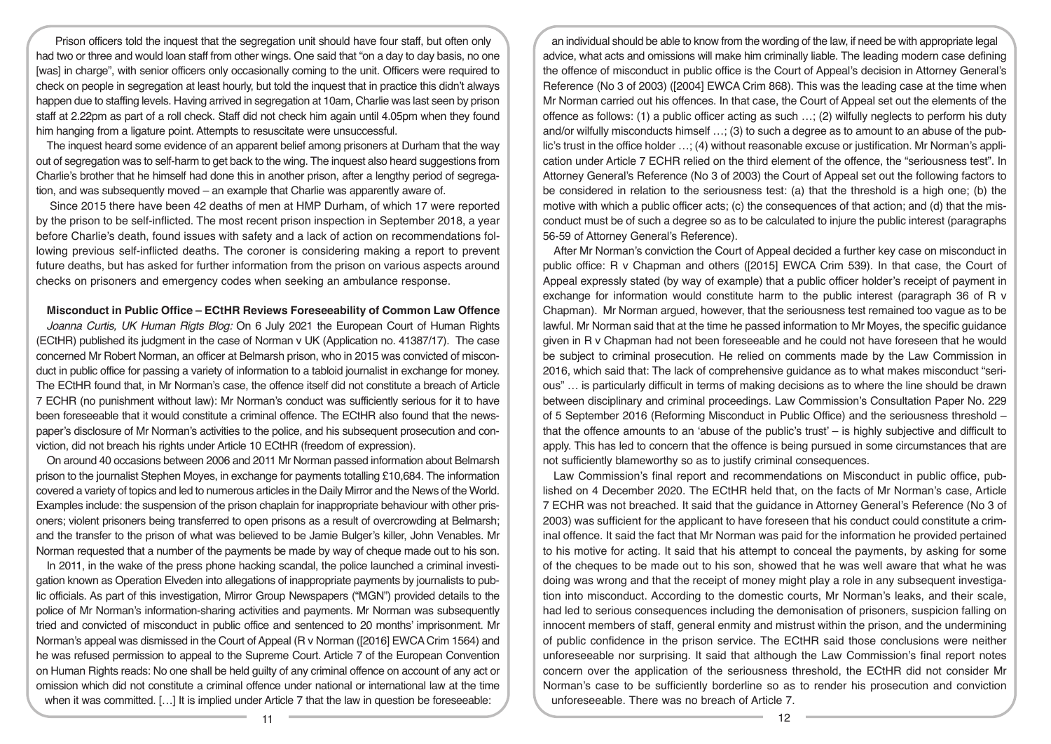Prison officers told the inquest that the segregation unit should have four staff, but often only had two or three and would loan staff from other wings. One said that "on a day to day basis, no one [was] in charge", with senior officers only occasionally coming to the unit. Officers were required to check on people in segregation at least hourly, but told the inquest that in practice this didn't always happen due to staffing levels. Having arrived in segregation at 10am, Charlie was last seen by prison staff at 2.22pm as part of a roll check. Staff did not check him again until 4.05pm when they found him hanging from a ligature point. Attempts to resuscitate were unsuccessful.

The inquest heard some evidence of an apparent belief among prisoners at Durham that the way out of segregation was to self-harm to get back to the wing. The inquest also heard suggestions from Charlie's brother that he himself had done this in another prison, after a lengthy period of segregation, and was subsequently moved – an example that Charlie was apparently aware of.

 Since 2015 there have been 42 deaths of men at HMP Durham, of which 17 were reported by the prison to be self-inflicted. The most recent prison inspection in September 2018, a year before Charlie's death, found issues with safety and a lack of action on recommendations following previous self-inflicted deaths. The coroner is considering making a report to prevent future deaths, but has asked for further information from the prison on various aspects around checks on prisoners and emergency codes when seeking an ambulance response.

# **Misconduct in Public Office – ECtHR Reviews Foreseeability of Common Law Offence**

*Joanna Curtis, UK Human Rigts Blog:* On 6 July 2021 the European Court of Human Rights (ECtHR) published its judgment in the case of Norman v UK (Application no. 41387/17). The case concerned Mr Robert Norman, an officer at Belmarsh prison, who in 2015 was convicted of misconduct in public office for passing a variety of information to a tabloid journalist in exchange for money. The ECtHR found that, in Mr Norman's case, the offence itself did not constitute a breach of Article 7 ECHR (no punishment without law): Mr Norman's conduct was sufficiently serious for it to have been foreseeable that it would constitute a criminal offence. The ECtHR also found that the newspaper's disclosure of Mr Norman's activities to the police, and his subsequent prosecution and conviction, did not breach his rights under Article 10 ECtHR (freedom of expression).

On around 40 occasions between 2006 and 2011 Mr Norman passed information about Belmarsh prison to the journalist Stephen Moyes, in exchange for payments totalling £10,684. The information covered a variety of topics and led to numerous articles in the Daily Mirror and the News of the World. Examples include: the suspension of the prison chaplain for inappropriate behaviour with other prisoners; violent prisoners being transferred to open prisons as a result of overcrowding at Belmarsh; and the transfer to the prison of what was believed to be Jamie Bulger's killer, John Venables. Mr Norman requested that a number of the payments be made by way of cheque made out to his son.

In 2011, in the wake of the press phone hacking scandal, the police launched a criminal investigation known as Operation Elveden into allegations of inappropriate payments by journalists to public officials. As part of this investigation, Mirror Group Newspapers ("MGN") provided details to the police of Mr Norman's information-sharing activities and payments. Mr Norman was subsequently tried and convicted of misconduct in public office and sentenced to 20 months' imprisonment. Mr Norman's appeal was dismissed in the Court of Appeal (R v Norman ([2016] EWCA Crim 1564) and he was refused permission to appeal to the Supreme Court. Article 7 of the European Convention on Human Rights reads: No one shall be held guilty of any criminal offence on account of any act or omission which did not constitute a criminal offence under national or international law at the time when it was committed. [...] It is implied under Article 7 that the law in question be foreseeable:

an individual should be able to know from the wording of the law, if need be with appropriate legal advice, what acts and omissions will make him criminally liable. The leading modern case defining the offence of misconduct in public office is the Court of Appeal's decision in Attorney General's Reference (No 3 of 2003) ([2004] EWCA Crim 868). This was the leading case at the time when Mr Norman carried out his offences. In that case, the Court of Appeal set out the elements of the offence as follows: (1) a public officer acting as such …; (2) wilfully neglects to perform his duty and/or wilfully misconducts himself …; (3) to such a degree as to amount to an abuse of the public's trust in the office holder …; (4) without reasonable excuse or justification. Mr Norman's application under Article 7 ECHR relied on the third element of the offence, the "seriousness test". In Attorney General's Reference (No 3 of 2003) the Court of Appeal set out the following factors to be considered in relation to the seriousness test: (a) that the threshold is a high one; (b) the motive with which a public officer acts; (c) the consequences of that action; and (d) that the misconduct must be of such a degree so as to be calculated to injure the public interest (paragraphs 56-59 of Attorney General's Reference).

After Mr Norman's conviction the Court of Appeal decided a further key case on misconduct in public office: R v Chapman and others ([2015] EWCA Crim 539). In that case, the Court of Appeal expressly stated (by way of example) that a public officer holder's receipt of payment in exchange for information would constitute harm to the public interest (paragraph 36 of R v Chapman). Mr Norman argued, however, that the seriousness test remained too vague as to be lawful. Mr Norman said that at the time he passed information to Mr Moyes, the specific guidance given in R v Chapman had not been foreseeable and he could not have foreseen that he would be subject to criminal prosecution. He relied on comments made by the Law Commission in 2016, which said that: The lack of comprehensive guidance as to what makes misconduct "serious" … is particularly difficult in terms of making decisions as to where the line should be drawn between disciplinary and criminal proceedings. Law Commission's Consultation Paper No. 229 of 5 September 2016 (Reforming Misconduct in Public Office) and the seriousness threshold – that the offence amounts to an 'abuse of the public's trust' – is highly subjective and difficult to apply. This has led to concern that the offence is being pursued in some circumstances that are not sufficiently blameworthy so as to justify criminal consequences.

Law Commission's final report and recommendations on Misconduct in public office, published on 4 December 2020. The ECtHR held that, on the facts of Mr Norman's case, Article 7 ECHR was not breached. It said that the guidance in Attorney General's Reference (No 3 of 2003) was sufficient for the applicant to have foreseen that his conduct could constitute a criminal offence. It said the fact that Mr Norman was paid for the information he provided pertained to his motive for acting. It said that his attempt to conceal the payments, by asking for some of the cheques to be made out to his son, showed that he was well aware that what he was doing was wrong and that the receipt of money might play a role in any subsequent investigation into misconduct. According to the domestic courts, Mr Norman's leaks, and their scale, had led to serious consequences including the demonisation of prisoners, suspicion falling on innocent members of staff, general enmity and mistrust within the prison, and the undermining of public confidence in the prison service. The ECtHR said those conclusions were neither unforeseeable nor surprising. It said that although the Law Commission's final report notes concern over the application of the seriousness threshold, the ECtHR did not consider Mr Norman's case to be sufficiently borderline so as to render his prosecution and conviction unforeseeable. There was no breach of Article 7.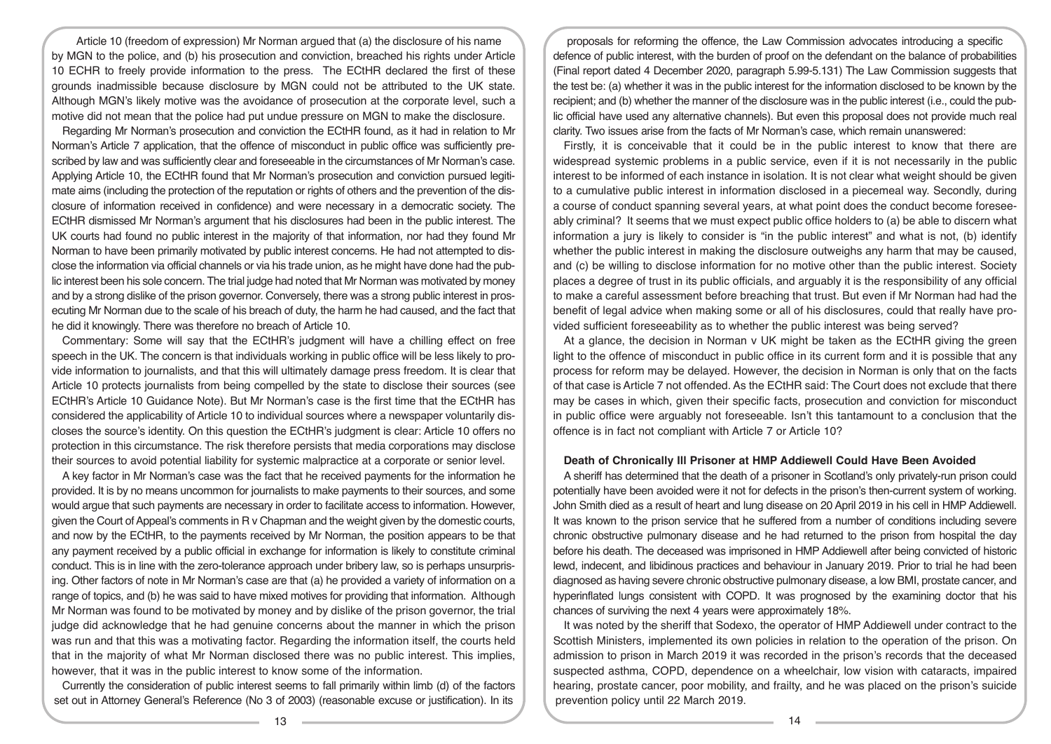Article 10 (freedom of expression) Mr Norman argued that (a) the disclosure of his name by MGN to the police, and (b) his prosecution and conviction, breached his rights under Article 10 ECHR to freely provide information to the press. The ECtHR declared the first of these grounds inadmissible because disclosure by MGN could not be attributed to the UK state. Although MGN's likely motive was the avoidance of prosecution at the corporate level, such a motive did not mean that the police had put undue pressure on MGN to make the disclosure.

Regarding Mr Norman's prosecution and conviction the ECtHR found, as it had in relation to Mr Norman's Article 7 application, that the offence of misconduct in public office was sufficiently prescribed by law and was sufficiently clear and foreseeable in the circumstances of Mr Norman's case. Applying Article 10, the ECtHR found that Mr Norman's prosecution and conviction pursued legitimate aims (including the protection of the reputation or rights of others and the prevention of the disclosure of information received in confidence) and were necessary in a democratic society. The ECtHR dismissed Mr Norman's argument that his disclosures had been in the public interest. The UK courts had found no public interest in the majority of that information, nor had they found Mr Norman to have been primarily motivated by public interest concerns. He had not attempted to disclose the information via official channels or via his trade union, as he might have done had the public interest been his sole concern. The trial judge had noted that Mr Norman was motivated by money and by a strong dislike of the prison governor. Conversely, there was a strong public interest in prosecuting Mr Norman due to the scale of his breach of duty, the harm he had caused, and the fact that he did it knowingly. There was therefore no breach of Article 10.

Commentary: Some will say that the ECtHR's judgment will have a chilling effect on free speech in the UK. The concern is that individuals working in public office will be less likely to provide information to journalists, and that this will ultimately damage press freedom. It is clear that Article 10 protects journalists from being compelled by the state to disclose their sources (see ECtHR's Article 10 Guidance Note). But Mr Norman's case is the first time that the ECtHR has considered the applicability of Article 10 to individual sources where a newspaper voluntarily discloses the source's identity. On this question the ECtHR's judgment is clear: Article 10 offers no protection in this circumstance. The risk therefore persists that media corporations may disclose their sources to avoid potential liability for systemic malpractice at a corporate or senior level.

A key factor in Mr Norman's case was the fact that he received payments for the information he provided. It is by no means uncommon for journalists to make payments to their sources, and some would argue that such payments are necessary in order to facilitate access to information. However, given the Court of Appeal's comments in R v Chapman and the weight given by the domestic courts, and now by the ECtHR, to the payments received by Mr Norman, the position appears to be that any payment received by a public official in exchange for information is likely to constitute criminal conduct. This is in line with the zero-tolerance approach under bribery law, so is perhaps unsurprising. Other factors of note in Mr Norman's case are that (a) he provided a variety of information on a range of topics, and (b) he was said to have mixed motives for providing that information. Although Mr Norman was found to be motivated by money and by dislike of the prison governor, the trial judge did acknowledge that he had genuine concerns about the manner in which the prison was run and that this was a motivating factor. Regarding the information itself, the courts held that in the majority of what Mr Norman disclosed there was no public interest. This implies, however, that it was in the public interest to know some of the information.

Currently the consideration of public interest seems to fall primarily within limb (d) of the factors set out in Attorney General's Reference (No 3 of 2003) (reasonable excuse or justification). In its

proposals for reforming the offence, the Law Commission advocates introducing a specific defence of public interest, with the burden of proof on the defendant on the balance of probabilities (Final report dated 4 December 2020, paragraph 5.99-5.131) The Law Commission suggests that the test be: (a) whether it was in the public interest for the information disclosed to be known by the recipient; and (b) whether the manner of the disclosure was in the public interest (i.e., could the public official have used any alternative channels). But even this proposal does not provide much real clarity. Two issues arise from the facts of Mr Norman's case, which remain unanswered:

Firstly, it is conceivable that it could be in the public interest to know that there are widespread systemic problems in a public service, even if it is not necessarily in the public interest to be informed of each instance in isolation. It is not clear what weight should be given to a cumulative public interest in information disclosed in a piecemeal way. Secondly, during a course of conduct spanning several years, at what point does the conduct become foreseeably criminal? It seems that we must expect public office holders to (a) be able to discern what information a jury is likely to consider is "in the public interest" and what is not, (b) identify whether the public interest in making the disclosure outweighs any harm that may be caused, and (c) be willing to disclose information for no motive other than the public interest. Society places a degree of trust in its public officials, and arguably it is the responsibility of any official to make a careful assessment before breaching that trust. But even if Mr Norman had had the benefit of legal advice when making some or all of his disclosures, could that really have provided sufficient foreseeability as to whether the public interest was being served?

At a glance, the decision in Norman v UK might be taken as the ECtHR giving the green light to the offence of misconduct in public office in its current form and it is possible that any process for reform may be delayed. However, the decision in Norman is only that on the facts of that case is Article 7 not offended. As the ECtHR said: The Court does not exclude that there may be cases in which, given their specific facts, prosecution and conviction for misconduct in public office were arguably not foreseeable. Isn't this tantamount to a conclusion that the offence is in fact not compliant with Article 7 or Article 10?

# **Death of Chronically Ill Prisoner at HMP Addiewell Could Have Been Avoided**

A sheriff has determined that the death of a prisoner in Scotland's only privately-run prison could potentially have been avoided were it not for defects in the prison's then-current system of working. John Smith died as a result of heart and lung disease on 20 April 2019 in his cell in HMP Addiewell. It was known to the prison service that he suffered from a number of conditions including severe chronic obstructive pulmonary disease and he had returned to the prison from hospital the day before his death. The deceased was imprisoned in HMP Addiewell after being convicted of historic lewd, indecent, and libidinous practices and behaviour in January 2019. Prior to trial he had been diagnosed as having severe chronic obstructive pulmonary disease, a low BMI, prostate cancer, and hyperinflated lungs consistent with COPD. It was prognosed by the examining doctor that his chances of surviving the next 4 years were approximately 18%.

It was noted by the sheriff that Sodexo, the operator of HMP Addiewell under contract to the Scottish Ministers, implemented its own policies in relation to the operation of the prison. On admission to prison in March 2019 it was recorded in the prison's records that the deceased suspected asthma, COPD, dependence on a wheelchair, low vision with cataracts, impaired hearing, prostate cancer, poor mobility, and frailty, and he was placed on the prison's suicide prevention policy until 22 March 2019.